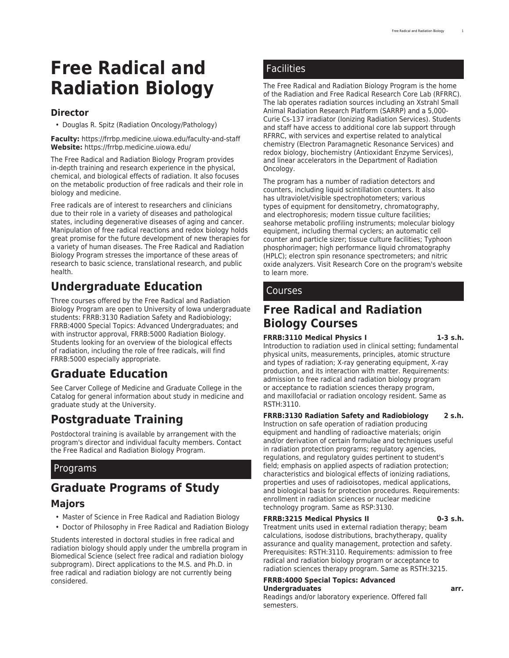# **Free Radical and Radiation Biology**

### **Director**

• Douglas R. Spitz (Radiation Oncology/Pathology)

**Faculty:** [https://frrbp.medicine.uiowa.edu/faculty-and-staff](https://frrbp.medicine.uiowa.edu/faculty-and-staff/) **Website:** <https://frrbp.medicine.uiowa.edu/>

The Free Radical and Radiation Biology Program provides in-depth training and research experience in the physical, chemical, and biological effects of radiation. It also focuses on the metabolic production of free radicals and their role in biology and medicine.

Free radicals are of interest to researchers and clinicians due to their role in a variety of diseases and pathological states, including degenerative diseases of aging and cancer. Manipulation of free radical reactions and redox biology holds great promise for the future development of new therapies for a variety of human diseases. The Free Radical and Radiation Biology Program stresses the importance of these areas of research to basic science, translational research, and public health.

# **Undergraduate Education**

Three courses offered by the Free Radical and Radiation Biology Program are open to University of Iowa undergraduate students: FRRB:3130 Radiation Safety and Radiobiology; FRRB:4000 Special Topics: Advanced Undergraduates; and with instructor approval, FRRB:5000 Radiation Biology. Students looking for an overview of the biological effects of radiation, including the role of free radicals, will find FRRB:5000 especially appropriate.

# **Graduate Education**

See Carver College of [Medicine](http://catalog.registrar.uiowa.edu/carver-medicine/) and [Graduate](http://catalog.registrar.uiowa.edu/graduate-college/) College in the Catalog for general information about study in medicine and graduate study at the University.

# **Postgraduate Training**

Postdoctoral training is available by arrangement with the program's director and individual faculty members. Contact the [Free Radical and Radiation Biology Program.](https://frrbp.medicine.uiowa.edu/)

### Programs

# **Graduate Programs of Study**

### **Majors**

- Master of Science in Free Radical and Radiation Biology
- Doctor of Philosophy in Free Radical and Radiation Biology

Students interested in doctoral studies in free radical and radiation biology should apply under the umbrella program in [Biomedical Science](http://catalog.registrar.uiowa.edu/graduate-college/biomedical-science/) (select free radical and radiation biology subprogram). Direct applications to the M.S. and Ph.D. in free radical and radiation biology are not currently being considered.

### **Facilities**

The Free Radical and Radiation Biology Program is the home of the Radiation and Free Radical Research Core Lab (RFRRC). The lab operates radiation sources including an Xstrahl Small Animal Radiation Research Platform (SARRP) and a 5,000- Curie Cs-137 irradiator (Ionizing Radiation Services). Students and staff have access to additional core lab support through RFRRC, with services and expertise related to analytical chemistry (Electron Paramagnetic Resonance Services) and redox biology, biochemistry (Antioxidant Enzyme Services), and linear accelerators in the [Department of Radiation](https://medicine.uiowa.edu/radiationoncology/) [Oncology.](https://medicine.uiowa.edu/radiationoncology/)

The program has a number of radiation detectors and counters, including liquid scintillation counters. It also has ultraviolet/visible spectrophotometers; various types of equipment for densitometry, chromatography, and electrophoresis; modern tissue culture facilities; seahorse metabolic profiling instruments; molecular biology equipment, including thermal cyclers; an automatic cell counter and particle sizer; tissue culture facilities; Typhoon phosphorimager; high performance liquid chromatography (HPLC); electron spin resonance spectrometers; and nitric oxide analyzers. Visit [Research Core](https://frrbp.medicine.uiowa.edu/research/research-core/) on the program's website to learn more.

### Courses

## **Free Radical and Radiation Biology Courses**

#### **FRRB:3110 Medical Physics I 1-3 s.h.**

Introduction to radiation used in clinical setting; fundamental physical units, measurements, principles, atomic structure and types of radiation; X-ray generating equipment, X-ray production, and its interaction with matter. Requirements: admission to free radical and radiation biology program or acceptance to radiation sciences therapy program, and maxillofacial or radiation oncology resident. Same as RSTH:3110.

#### **FRRB:3130 Radiation Safety and Radiobiology 2 s.h.**

Instruction on safe operation of radiation producing equipment and handling of radioactive materials; origin and/or derivation of certain formulae and techniques useful in radiation protection programs; regulatory agencies, regulations, and regulatory guides pertinent to student's field; emphasis on applied aspects of radiation protection; characteristics and biological effects of ionizing radiations, properties and uses of radioisotopes, medical applications, and biological basis for protection procedures. Requirements: enrollment in radiation sciences or nuclear medicine technology program. Same as RSP:3130.

#### **FRRB:3215 Medical Physics II 0-3 s.h.**

Treatment units used in external radiation therapy; beam calculations, isodose distributions, brachytherapy, quality assurance and quality management, protection and safety. Prerequisites: RSTH:3110. Requirements: admission to free radical and radiation biology program or acceptance to radiation sciences therapy program. Same as RSTH:3215.

#### **FRRB:4000 Special Topics: Advanced Undergraduates arr.**

Readings and/or laboratory experience. Offered fall semesters.